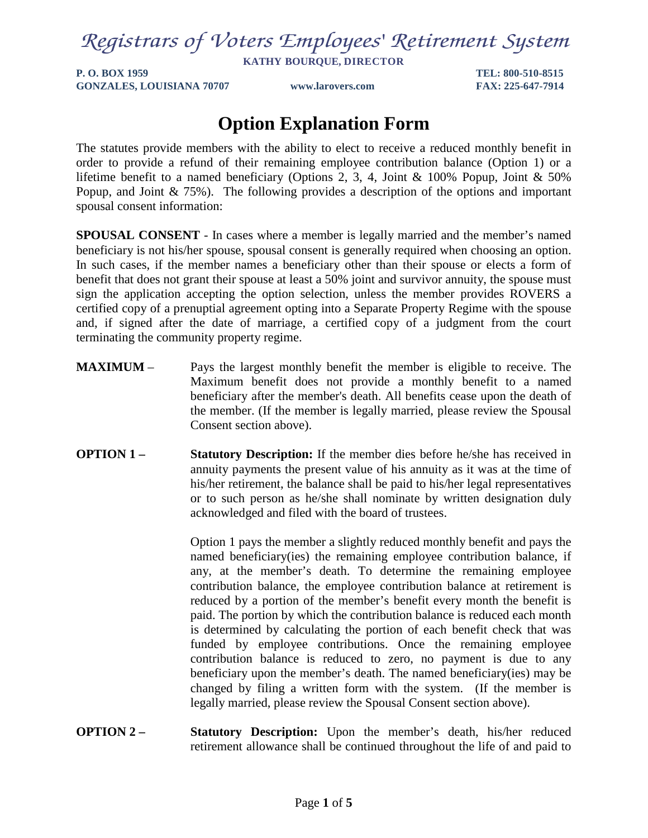# *Registrars of Voters Employees' Retirement System*

**KATHY BOURQUE, DIRECTOR**

**P. O. BOX 1959 TEL: 800-510-8515 GONZALES, LOUISIANA 70707 www.larovers.com FAX: 225-647-7914**

## **Option Explanation Form**

The statutes provide members with the ability to elect to receive a reduced monthly benefit in order to provide a refund of their remaining employee contribution balance (Option 1) or a lifetime benefit to a named beneficiary (Options 2, 3, 4, Joint & 100% Popup, Joint & 50% Popup, and Joint & 75%). The following provides a description of the options and important spousal consent information:

**SPOUSAL CONSENT** - In cases where a member is legally married and the member's named beneficiary is not his/her spouse, spousal consent is generally required when choosing an option. In such cases, if the member names a beneficiary other than their spouse or elects a form of benefit that does not grant their spouse at least a 50% joint and survivor annuity, the spouse must sign the application accepting the option selection, unless the member provides ROVERS a certified copy of a prenuptial agreement opting into a Separate Property Regime with the spouse and, if signed after the date of marriage, a certified copy of a judgment from the court terminating the community property regime.

- **MAXIMUM** Pays the largest monthly benefit the member is eligible to receive. The Maximum benefit does not provide a monthly benefit to a named beneficiary after the member's death. All benefits cease upon the death of the member. (If the member is legally married, please review the Spousal Consent section above).
- **OPTION 1 Statutory Description:** If the member dies before he/she has received in annuity payments the present value of his annuity as it was at the time of his/her retirement, the balance shall be paid to his/her legal representatives or to such person as he/she shall nominate by written designation duly acknowledged and filed with the board of trustees.

Option 1 pays the member a slightly reduced monthly benefit and pays the named beneficiary(ies) the remaining employee contribution balance, if any, at the member's death. To determine the remaining employee contribution balance, the employee contribution balance at retirement is reduced by a portion of the member's benefit every month the benefit is paid. The portion by which the contribution balance is reduced each month is determined by calculating the portion of each benefit check that was funded by employee contributions. Once the remaining employee contribution balance is reduced to zero, no payment is due to any beneficiary upon the member's death. The named beneficiary(ies) may be changed by filing a written form with the system. (If the member is legally married, please review the Spousal Consent section above).

**OPTION 2 – Statutory Description:** Upon the member's death, his/her reduced retirement allowance shall be continued throughout the life of and paid to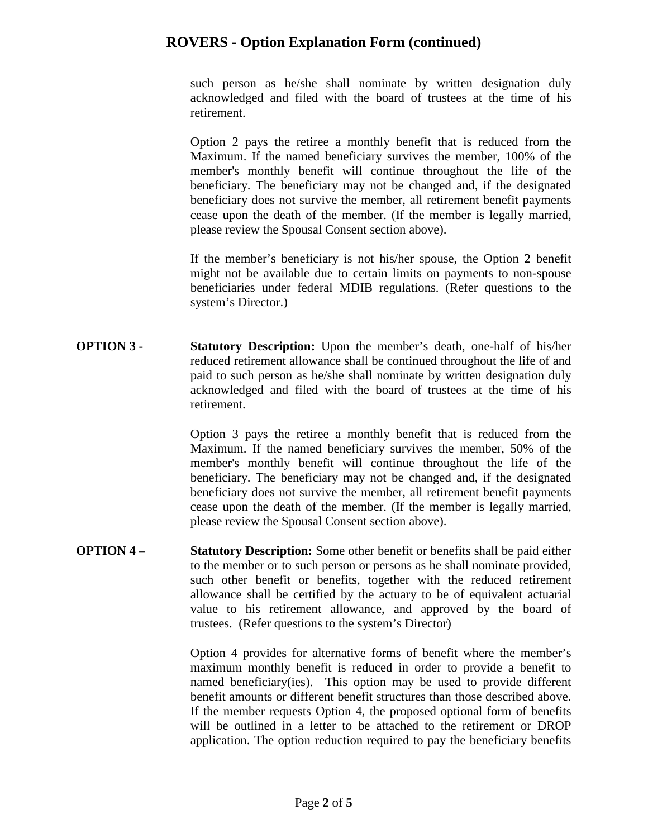such person as he/she shall nominate by written designation duly acknowledged and filed with the board of trustees at the time of his retirement.

Option 2 pays the retiree a monthly benefit that is reduced from the Maximum. If the named beneficiary survives the member, 100% of the member's monthly benefit will continue throughout the life of the beneficiary. The beneficiary may not be changed and, if the designated beneficiary does not survive the member, all retirement benefit payments cease upon the death of the member. (If the member is legally married, please review the Spousal Consent section above).

If the member's beneficiary is not his/her spouse, the Option 2 benefit might not be available due to certain limits on payments to non-spouse beneficiaries under federal MDIB regulations. (Refer questions to the system's Director.)

**OPTION 3 - Statutory Description:** Upon the member's death, one-half of his/her reduced retirement allowance shall be continued throughout the life of and paid to such person as he/she shall nominate by written designation duly acknowledged and filed with the board of trustees at the time of his retirement.

> Option 3 pays the retiree a monthly benefit that is reduced from the Maximum. If the named beneficiary survives the member, 50% of the member's monthly benefit will continue throughout the life of the beneficiary. The beneficiary may not be changed and, if the designated beneficiary does not survive the member, all retirement benefit payments cease upon the death of the member. (If the member is legally married, please review the Spousal Consent section above).

**OPTION 4** – **Statutory Description:** Some other benefit or benefits shall be paid either to the member or to such person or persons as he shall nominate provided, such other benefit or benefits, together with the reduced retirement allowance shall be certified by the actuary to be of equivalent actuarial value to his retirement allowance, and approved by the board of trustees. (Refer questions to the system's Director)

> Option 4 provides for alternative forms of benefit where the member's maximum monthly benefit is reduced in order to provide a benefit to named beneficiary(ies). This option may be used to provide different benefit amounts or different benefit structures than those described above. If the member requests Option 4, the proposed optional form of benefits will be outlined in a letter to be attached to the retirement or DROP application. The option reduction required to pay the beneficiary benefits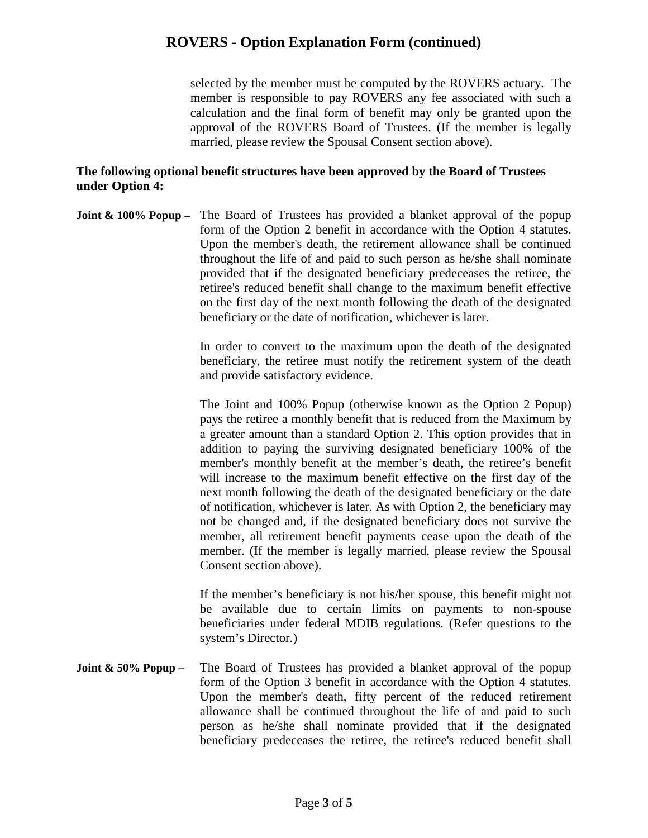selected by the member must be computed by the ROVERS actuary. The member is responsible to pay ROVERS any fee associated with such a calculation and the final form of benefit may only be granted upon the approval of the ROVERS Board of Trustees. (If the member is legally married, please review the Spousal Consent section above).

#### **The following optional benefit structures have been approved by the Board of Trustees under Option 4:**

**Joint & 100% Popup** – The Board of Trustees has provided a blanket approval of the popup form of the Option 2 benefit in accordance with the Option 4 statutes. Upon the member's death, the retirement allowance shall be continued throughout the life of and paid to such person as he/she shall nominate provided that if the designated beneficiary predeceases the retiree, the retiree's reduced benefit shall change to the maximum benefit effective on the first day of the next month following the death of the designated beneficiary or the date of notification, whichever is later.

> In order to convert to the maximum upon the death of the designated beneficiary, the retiree must notify the retirement system of the death and provide satisfactory evidence.

> The Joint and 100% Popup (otherwise known as the Option 2 Popup) pays the retiree a monthly benefit that is reduced from the Maximum by a greater amount than a standard Option 2. This option provides that in addition to paying the surviving designated beneficiary 100% of the member's monthly benefit at the member's death, the retiree's benefit will increase to the maximum benefit effective on the first day of the next month following the death of the designated beneficiary or the date of notification, whichever is later. As with Option 2, the beneficiary may not be changed and, if the designated beneficiary does not survive the member, all retirement benefit payments cease upon the death of the member. (If the member is legally married, please review the Spousal Consent section above).

> If the member's beneficiary is not his/her spouse, this benefit might not be available due to certain limits on payments to non-spouse beneficiaries under federal MDIB regulations. (Refer questions to the system's Director.)

**Joint & 50% Popup** – The Board of Trustees has provided a blanket approval of the popup form of the Option 3 benefit in accordance with the Option 4 statutes. Upon the member's death, fifty percent of the reduced retirement allowance shall be continued throughout the life of and paid to such person as he/she shall nominate provided that if the designated beneficiary predeceases the retiree, the retiree's reduced benefit shall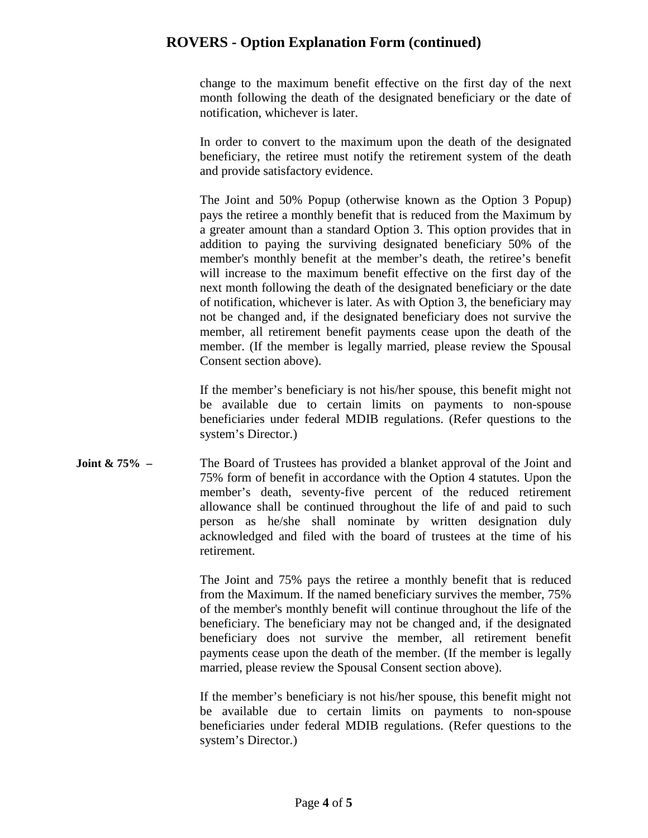change to the maximum benefit effective on the first day of the next month following the death of the designated beneficiary or the date of notification, whichever is later.

In order to convert to the maximum upon the death of the designated beneficiary, the retiree must notify the retirement system of the death and provide satisfactory evidence.

The Joint and 50% Popup (otherwise known as the Option 3 Popup) pays the retiree a monthly benefit that is reduced from the Maximum by a greater amount than a standard Option 3. This option provides that in addition to paying the surviving designated beneficiary 50% of the member's monthly benefit at the member's death, the retiree's benefit will increase to the maximum benefit effective on the first day of the next month following the death of the designated beneficiary or the date of notification, whichever is later. As with Option 3, the beneficiary may not be changed and, if the designated beneficiary does not survive the member, all retirement benefit payments cease upon the death of the member. (If the member is legally married, please review the Spousal Consent section above).

If the member's beneficiary is not his/her spouse, this benefit might not be available due to certain limits on payments to non-spouse beneficiaries under federal MDIB regulations. (Refer questions to the system's Director.)

**Joint & 75% – The Board of Trustees has provided a blanket approval of the Joint and** 75% form of benefit in accordance with the Option 4 statutes. Upon the member's death, seventy-five percent of the reduced retirement allowance shall be continued throughout the life of and paid to such person as he/she shall nominate by written designation duly acknowledged and filed with the board of trustees at the time of his retirement.

> The Joint and 75% pays the retiree a monthly benefit that is reduced from the Maximum. If the named beneficiary survives the member, 75% of the member's monthly benefit will continue throughout the life of the beneficiary. The beneficiary may not be changed and, if the designated beneficiary does not survive the member, all retirement benefit payments cease upon the death of the member. (If the member is legally married, please review the Spousal Consent section above).

> If the member's beneficiary is not his/her spouse, this benefit might not be available due to certain limits on payments to non-spouse beneficiaries under federal MDIB regulations. (Refer questions to the system's Director.)